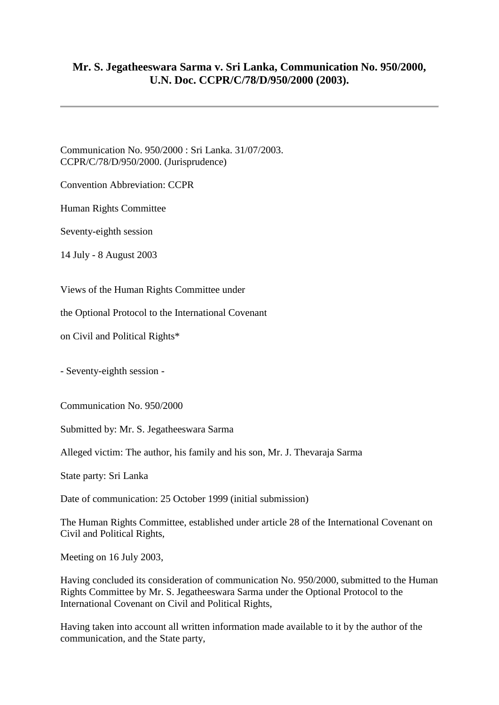## **Mr. S. Jegatheeswara Sarma v. Sri Lanka, Communication No. 950/2000, U.N. Doc. CCPR/C/78/D/950/2000 (2003).**

Communication No. 950/2000 : Sri Lanka. 31/07/2003. CCPR/C/78/D/950/2000. (Jurisprudence)

Convention Abbreviation: CCPR

Human Rights Committee

Seventy-eighth session

14 July - 8 August 2003

Views of the Human Rights Committee under

the Optional Protocol to the International Covenant

on Civil and Political Rights\*

- Seventy-eighth session -

Communication No. 950/2000

Submitted by: Mr. S. Jegatheeswara Sarma

Alleged victim: The author, his family and his son, Mr. J. Thevaraja Sarma

State party: Sri Lanka

Date of communication: 25 October 1999 (initial submission)

The Human Rights Committee, established under article 28 of the International Covenant on Civil and Political Rights,

Meeting on 16 July 2003,

Having concluded its consideration of communication No. 950/2000, submitted to the Human Rights Committee by Mr. S. Jegatheeswara Sarma under the Optional Protocol to the International Covenant on Civil and Political Rights,

Having taken into account all written information made available to it by the author of the communication, and the State party,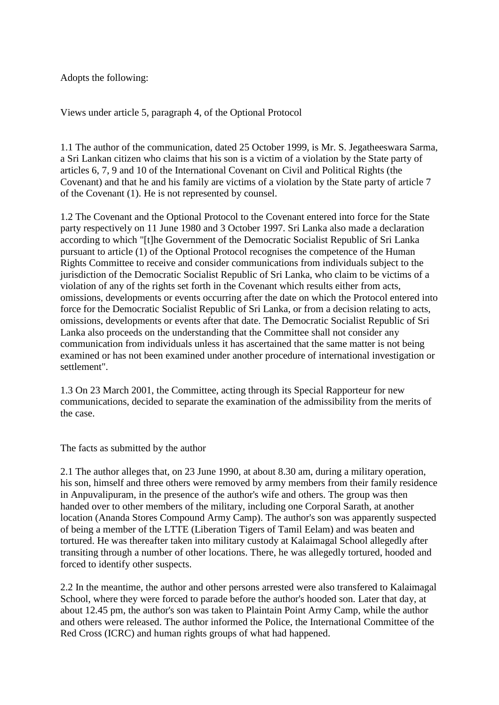Adopts the following:

Views under article 5, paragraph 4, of the Optional Protocol

1.1 The author of the communication, dated 25 October 1999, is Mr. S. Jegatheeswara Sarma, a Sri Lankan citizen who claims that his son is a victim of a violation by the State party of articles 6, 7, 9 and 10 of the International Covenant on Civil and Political Rights (the Covenant) and that he and his family are victims of a violation by the State party of article 7 of the Covenant (1). He is not represented by counsel.

1.2 The Covenant and the Optional Protocol to the Covenant entered into force for the State party respectively on 11 June 1980 and 3 October 1997. Sri Lanka also made a declaration according to which "[t]he Government of the Democratic Socialist Republic of Sri Lanka pursuant to article (1) of the Optional Protocol recognises the competence of the Human Rights Committee to receive and consider communications from individuals subject to the jurisdiction of the Democratic Socialist Republic of Sri Lanka, who claim to be victims of a violation of any of the rights set forth in the Covenant which results either from acts, omissions, developments or events occurring after the date on which the Protocol entered into force for the Democratic Socialist Republic of Sri Lanka, or from a decision relating to acts, omissions, developments or events after that date. The Democratic Socialist Republic of Sri Lanka also proceeds on the understanding that the Committee shall not consider any communication from individuals unless it has ascertained that the same matter is not being examined or has not been examined under another procedure of international investigation or settlement".

1.3 On 23 March 2001, the Committee, acting through its Special Rapporteur for new communications, decided to separate the examination of the admissibility from the merits of the case.

The facts as submitted by the author

2.1 The author alleges that, on 23 June 1990, at about 8.30 am, during a military operation, his son, himself and three others were removed by army members from their family residence in Anpuvalipuram, in the presence of the author's wife and others. The group was then handed over to other members of the military, including one Corporal Sarath, at another location (Ananda Stores Compound Army Camp). The author's son was apparently suspected of being a member of the LTTE (Liberation Tigers of Tamil Eelam) and was beaten and tortured. He was thereafter taken into military custody at Kalaimagal School allegedly after transiting through a number of other locations. There, he was allegedly tortured, hooded and forced to identify other suspects.

2.2 In the meantime, the author and other persons arrested were also transfered to Kalaimagal School, where they were forced to parade before the author's hooded son. Later that day, at about 12.45 pm, the author's son was taken to Plaintain Point Army Camp, while the author and others were released. The author informed the Police, the International Committee of the Red Cross (ICRC) and human rights groups of what had happened.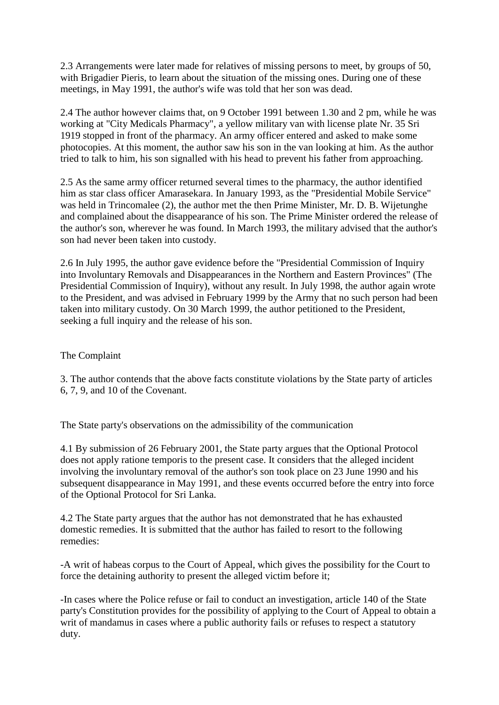2.3 Arrangements were later made for relatives of missing persons to meet, by groups of 50, with Brigadier Pieris, to learn about the situation of the missing ones. During one of these meetings, in May 1991, the author's wife was told that her son was dead.

2.4 The author however claims that, on 9 October 1991 between 1.30 and 2 pm, while he was working at "City Medicals Pharmacy", a yellow military van with license plate Nr. 35 Sri 1919 stopped in front of the pharmacy. An army officer entered and asked to make some photocopies. At this moment, the author saw his son in the van looking at him. As the author tried to talk to him, his son signalled with his head to prevent his father from approaching.

2.5 As the same army officer returned several times to the pharmacy, the author identified him as star class officer Amarasekara. In January 1993, as the "Presidential Mobile Service" was held in Trincomalee (2), the author met the then Prime Minister, Mr. D. B. Wijetunghe and complained about the disappearance of his son. The Prime Minister ordered the release of the author's son, wherever he was found. In March 1993, the military advised that the author's son had never been taken into custody.

2.6 In July 1995, the author gave evidence before the "Presidential Commission of Inquiry into Involuntary Removals and Disappearances in the Northern and Eastern Provinces" (The Presidential Commission of Inquiry), without any result. In July 1998, the author again wrote to the President, and was advised in February 1999 by the Army that no such person had been taken into military custody. On 30 March 1999, the author petitioned to the President, seeking a full inquiry and the release of his son.

The Complaint

3. The author contends that the above facts constitute violations by the State party of articles 6, 7, 9, and 10 of the Covenant.

The State party's observations on the admissibility of the communication

4.1 By submission of 26 February 2001, the State party argues that the Optional Protocol does not apply ratione temporis to the present case. It considers that the alleged incident involving the involuntary removal of the author's son took place on 23 June 1990 and his subsequent disappearance in May 1991, and these events occurred before the entry into force of the Optional Protocol for Sri Lanka.

4.2 The State party argues that the author has not demonstrated that he has exhausted domestic remedies. It is submitted that the author has failed to resort to the following remedies:

-A writ of habeas corpus to the Court of Appeal, which gives the possibility for the Court to force the detaining authority to present the alleged victim before it;

-In cases where the Police refuse or fail to conduct an investigation, article 140 of the State party's Constitution provides for the possibility of applying to the Court of Appeal to obtain a writ of mandamus in cases where a public authority fails or refuses to respect a statutory duty.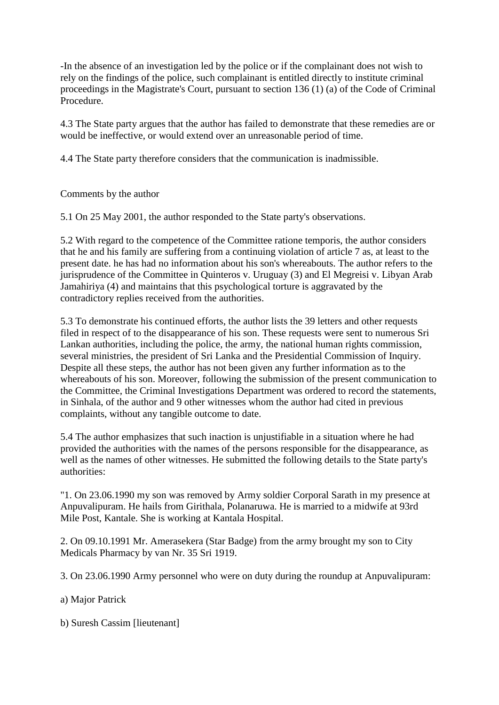-In the absence of an investigation led by the police or if the complainant does not wish to rely on the findings of the police, such complainant is entitled directly to institute criminal proceedings in the Magistrate's Court, pursuant to section 136 (1) (a) of the Code of Criminal Procedure.

4.3 The State party argues that the author has failed to demonstrate that these remedies are or would be ineffective, or would extend over an unreasonable period of time.

4.4 The State party therefore considers that the communication is inadmissible.

Comments by the author

5.1 On 25 May 2001, the author responded to the State party's observations.

5.2 With regard to the competence of the Committee ratione temporis, the author considers that he and his family are suffering from a continuing violation of article 7 as, at least to the present date. he has had no information about his son's whereabouts. The author refers to the jurisprudence of the Committee in Quinteros v. Uruguay (3) and El Megreisi v. Libyan Arab Jamahiriya (4) and maintains that this psychological torture is aggravated by the contradictory replies received from the authorities.

5.3 To demonstrate his continued efforts, the author lists the 39 letters and other requests filed in respect of to the disappearance of his son. These requests were sent to numerous Sri Lankan authorities, including the police, the army, the national human rights commission, several ministries, the president of Sri Lanka and the Presidential Commission of Inquiry. Despite all these steps, the author has not been given any further information as to the whereabouts of his son. Moreover, following the submission of the present communication to the Committee, the Criminal Investigations Department was ordered to record the statements, in Sinhala, of the author and 9 other witnesses whom the author had cited in previous complaints, without any tangible outcome to date.

5.4 The author emphasizes that such inaction is unjustifiable in a situation where he had provided the authorities with the names of the persons responsible for the disappearance, as well as the names of other witnesses. He submitted the following details to the State party's authorities:

"1. On 23.06.1990 my son was removed by Army soldier Corporal Sarath in my presence at Anpuvalipuram. He hails from Girithala, Polanaruwa. He is married to a midwife at 93rd Mile Post, Kantale. She is working at Kantala Hospital.

2. On 09.10.1991 Mr. Amerasekera (Star Badge) from the army brought my son to City Medicals Pharmacy by van Nr. 35 Sri 1919.

3. On 23.06.1990 Army personnel who were on duty during the roundup at Anpuvalipuram:

a) Major Patrick

b) Suresh Cassim [lieutenant]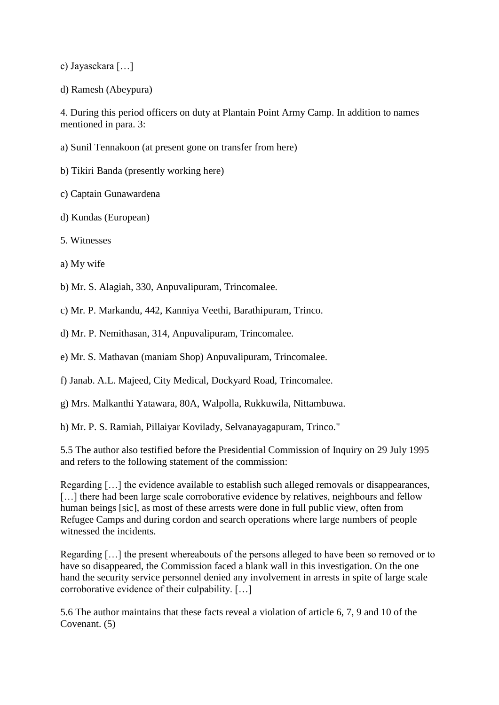c) Jayasekara […]

d) Ramesh (Abeypura)

4. During this period officers on duty at Plantain Point Army Camp. In addition to names mentioned in para. 3:

a) Sunil Tennakoon (at present gone on transfer from here)

b) Tikiri Banda (presently working here)

c) Captain Gunawardena

d) Kundas (European)

5. Witnesses

a) My wife

b) Mr. S. Alagiah, 330, Anpuvalipuram, Trincomalee.

c) Mr. P. Markandu, 442, Kanniya Veethi, Barathipuram, Trinco.

d) Mr. P. Nemithasan, 314, Anpuvalipuram, Trincomalee.

e) Mr. S. Mathavan (maniam Shop) Anpuvalipuram, Trincomalee.

f) Janab. A.L. Majeed, City Medical, Dockyard Road, Trincomalee.

g) Mrs. Malkanthi Yatawara, 80A, Walpolla, Rukkuwila, Nittambuwa.

h) Mr. P. S. Ramiah, Pillaiyar Kovilady, Selvanayagapuram, Trinco."

5.5 The author also testified before the Presidential Commission of Inquiry on 29 July 1995 and refers to the following statement of the commission:

Regarding […] the evidence available to establish such alleged removals or disappearances, [...] there had been large scale corroborative evidence by relatives, neighbours and fellow human beings [sic], as most of these arrests were done in full public view, often from Refugee Camps and during cordon and search operations where large numbers of people witnessed the incidents.

Regarding […] the present whereabouts of the persons alleged to have been so removed or to have so disappeared, the Commission faced a blank wall in this investigation. On the one hand the security service personnel denied any involvement in arrests in spite of large scale corroborative evidence of their culpability. […]

5.6 The author maintains that these facts reveal a violation of article 6, 7, 9 and 10 of the Covenant. (5)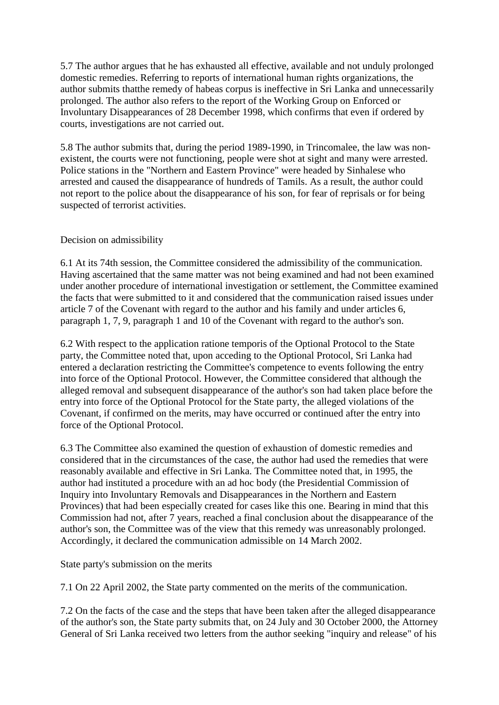5.7 The author argues that he has exhausted all effective, available and not unduly prolonged domestic remedies. Referring to reports of international human rights organizations, the author submits thatthe remedy of habeas corpus is ineffective in Sri Lanka and unnecessarily prolonged. The author also refers to the report of the Working Group on Enforced or Involuntary Disappearances of 28 December 1998, which confirms that even if ordered by courts, investigations are not carried out.

5.8 The author submits that, during the period 1989-1990, in Trincomalee, the law was nonexistent, the courts were not functioning, people were shot at sight and many were arrested. Police stations in the "Northern and Eastern Province" were headed by Sinhalese who arrested and caused the disappearance of hundreds of Tamils. As a result, the author could not report to the police about the disappearance of his son, for fear of reprisals or for being suspected of terrorist activities.

## Decision on admissibility

6.1 At its 74th session, the Committee considered the admissibility of the communication. Having ascertained that the same matter was not being examined and had not been examined under another procedure of international investigation or settlement, the Committee examined the facts that were submitted to it and considered that the communication raised issues under article 7 of the Covenant with regard to the author and his family and under articles 6, paragraph 1, 7, 9, paragraph 1 and 10 of the Covenant with regard to the author's son.

6.2 With respect to the application ratione temporis of the Optional Protocol to the State party, the Committee noted that, upon acceding to the Optional Protocol, Sri Lanka had entered a declaration restricting the Committee's competence to events following the entry into force of the Optional Protocol. However, the Committee considered that although the alleged removal and subsequent disappearance of the author's son had taken place before the entry into force of the Optional Protocol for the State party, the alleged violations of the Covenant, if confirmed on the merits, may have occurred or continued after the entry into force of the Optional Protocol.

6.3 The Committee also examined the question of exhaustion of domestic remedies and considered that in the circumstances of the case, the author had used the remedies that were reasonably available and effective in Sri Lanka. The Committee noted that, in 1995, the author had instituted a procedure with an ad hoc body (the Presidential Commission of Inquiry into Involuntary Removals and Disappearances in the Northern and Eastern Provinces) that had been especially created for cases like this one. Bearing in mind that this Commission had not, after 7 years, reached a final conclusion about the disappearance of the author's son, the Committee was of the view that this remedy was unreasonably prolonged. Accordingly, it declared the communication admissible on 14 March 2002.

State party's submission on the merits

7.1 On 22 April 2002, the State party commented on the merits of the communication.

7.2 On the facts of the case and the steps that have been taken after the alleged disappearance of the author's son, the State party submits that, on 24 July and 30 October 2000, the Attorney General of Sri Lanka received two letters from the author seeking "inquiry and release" of his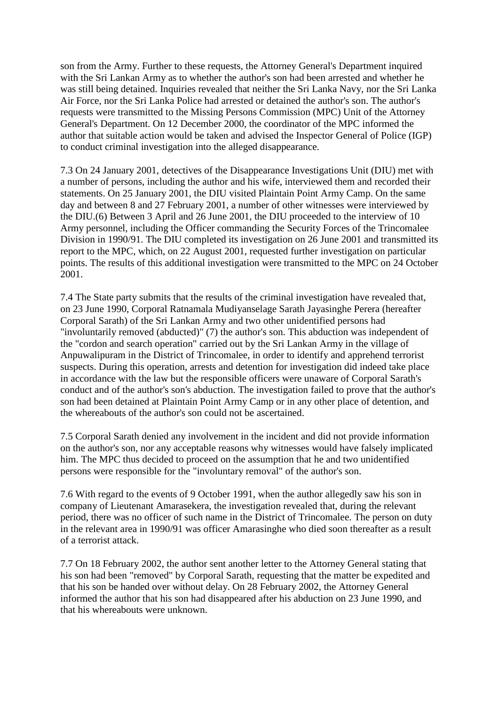son from the Army. Further to these requests, the Attorney General's Department inquired with the Sri Lankan Army as to whether the author's son had been arrested and whether he was still being detained. Inquiries revealed that neither the Sri Lanka Navy, nor the Sri Lanka Air Force, nor the Sri Lanka Police had arrested or detained the author's son. The author's requests were transmitted to the Missing Persons Commission (MPC) Unit of the Attorney General's Department. On 12 December 2000, the coordinator of the MPC informed the author that suitable action would be taken and advised the Inspector General of Police (IGP) to conduct criminal investigation into the alleged disappearance.

7.3 On 24 January 2001, detectives of the Disappearance Investigations Unit (DIU) met with a number of persons, including the author and his wife, interviewed them and recorded their statements. On 25 January 2001, the DIU visited Plaintain Point Army Camp. On the same day and between 8 and 27 February 2001, a number of other witnesses were interviewed by the DIU.(6) Between 3 April and 26 June 2001, the DIU proceeded to the interview of 10 Army personnel, including the Officer commanding the Security Forces of the Trincomalee Division in 1990/91. The DIU completed its investigation on 26 June 2001 and transmitted its report to the MPC, which, on 22 August 2001, requested further investigation on particular points. The results of this additional investigation were transmitted to the MPC on 24 October 2001.

7.4 The State party submits that the results of the criminal investigation have revealed that, on 23 June 1990, Corporal Ratnamala Mudiyanselage Sarath Jayasinghe Perera (hereafter Corporal Sarath) of the Sri Lankan Army and two other unidentified persons had "involuntarily removed (abducted)" (7) the author's son. This abduction was independent of the "cordon and search operation" carried out by the Sri Lankan Army in the village of Anpuwalipuram in the District of Trincomalee, in order to identify and apprehend terrorist suspects. During this operation, arrests and detention for investigation did indeed take place in accordance with the law but the responsible officers were unaware of Corporal Sarath's conduct and of the author's son's abduction. The investigation failed to prove that the author's son had been detained at Plaintain Point Army Camp or in any other place of detention, and the whereabouts of the author's son could not be ascertained.

7.5 Corporal Sarath denied any involvement in the incident and did not provide information on the author's son, nor any acceptable reasons why witnesses would have falsely implicated him. The MPC thus decided to proceed on the assumption that he and two unidentified persons were responsible for the "involuntary removal" of the author's son.

7.6 With regard to the events of 9 October 1991, when the author allegedly saw his son in company of Lieutenant Amarasekera, the investigation revealed that, during the relevant period, there was no officer of such name in the District of Trincomalee. The person on duty in the relevant area in 1990/91 was officer Amarasinghe who died soon thereafter as a result of a terrorist attack.

7.7 On 18 February 2002, the author sent another letter to the Attorney General stating that his son had been "removed" by Corporal Sarath, requesting that the matter be expedited and that his son be handed over without delay. On 28 February 2002, the Attorney General informed the author that his son had disappeared after his abduction on 23 June 1990, and that his whereabouts were unknown.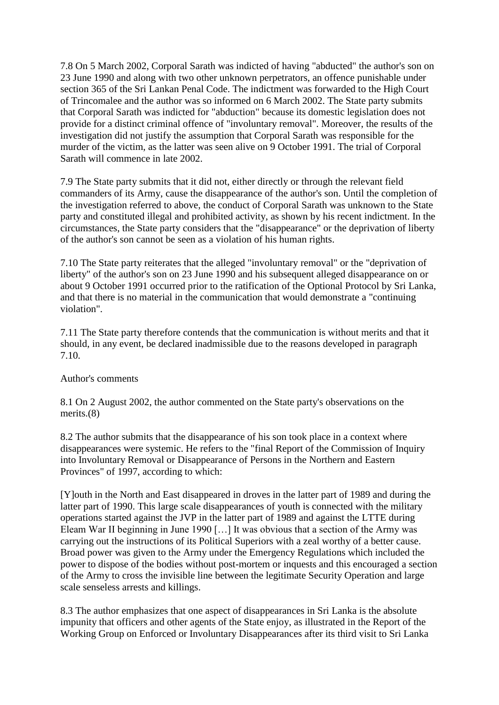7.8 On 5 March 2002, Corporal Sarath was indicted of having "abducted" the author's son on 23 June 1990 and along with two other unknown perpetrators, an offence punishable under section 365 of the Sri Lankan Penal Code. The indictment was forwarded to the High Court of Trincomalee and the author was so informed on 6 March 2002. The State party submits that Corporal Sarath was indicted for "abduction" because its domestic legislation does not provide for a distinct criminal offence of "involuntary removal". Moreover, the results of the investigation did not justify the assumption that Corporal Sarath was responsible for the murder of the victim, as the latter was seen alive on 9 October 1991. The trial of Corporal Sarath will commence in late 2002.

7.9 The State party submits that it did not, either directly or through the relevant field commanders of its Army, cause the disappearance of the author's son. Until the completion of the investigation referred to above, the conduct of Corporal Sarath was unknown to the State party and constituted illegal and prohibited activity, as shown by his recent indictment. In the circumstances, the State party considers that the "disappearance" or the deprivation of liberty of the author's son cannot be seen as a violation of his human rights.

7.10 The State party reiterates that the alleged "involuntary removal" or the "deprivation of liberty" of the author's son on 23 June 1990 and his subsequent alleged disappearance on or about 9 October 1991 occurred prior to the ratification of the Optional Protocol by Sri Lanka, and that there is no material in the communication that would demonstrate a "continuing violation".

7.11 The State party therefore contends that the communication is without merits and that it should, in any event, be declared inadmissible due to the reasons developed in paragraph 7.10.

## Author's comments

8.1 On 2 August 2002, the author commented on the State party's observations on the merits.(8)

8.2 The author submits that the disappearance of his son took place in a context where disappearances were systemic. He refers to the "final Report of the Commission of Inquiry into Involuntary Removal or Disappearance of Persons in the Northern and Eastern Provinces" of 1997, according to which:

[Y]outh in the North and East disappeared in droves in the latter part of 1989 and during the latter part of 1990. This large scale disappearances of youth is connected with the military operations started against the JVP in the latter part of 1989 and against the LTTE during Eleam War II beginning in June 1990 […] It was obvious that a section of the Army was carrying out the instructions of its Political Superiors with a zeal worthy of a better cause. Broad power was given to the Army under the Emergency Regulations which included the power to dispose of the bodies without post-mortem or inquests and this encouraged a section of the Army to cross the invisible line between the legitimate Security Operation and large scale senseless arrests and killings.

8.3 The author emphasizes that one aspect of disappearances in Sri Lanka is the absolute impunity that officers and other agents of the State enjoy, as illustrated in the Report of the Working Group on Enforced or Involuntary Disappearances after its third visit to Sri Lanka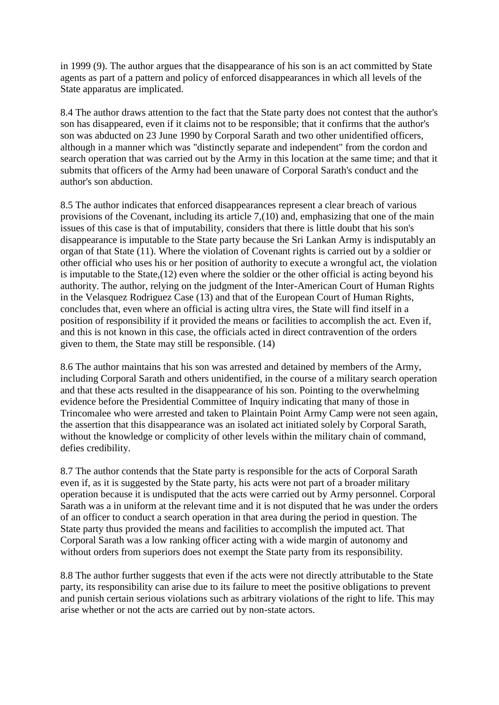in 1999 (9). The author argues that the disappearance of his son is an act committed by State agents as part of a pattern and policy of enforced disappearances in which all levels of the State apparatus are implicated.

8.4 The author draws attention to the fact that the State party does not contest that the author's son has disappeared, even if it claims not to be responsible; that it confirms that the author's son was abducted on 23 June 1990 by Corporal Sarath and two other unidentified officers, although in a manner which was "distinctly separate and independent" from the cordon and search operation that was carried out by the Army in this location at the same time; and that it submits that officers of the Army had been unaware of Corporal Sarath's conduct and the author's son abduction.

8.5 The author indicates that enforced disappearances represent a clear breach of various provisions of the Covenant, including its article 7,(10) and, emphasizing that one of the main issues of this case is that of imputability, considers that there is little doubt that his son's disappearance is imputable to the State party because the Sri Lankan Army is indisputably an organ of that State (11). Where the violation of Covenant rights is carried out by a soldier or other official who uses his or her position of authority to execute a wrongful act, the violation is imputable to the State,(12) even where the soldier or the other official is acting beyond his authority. The author, relying on the judgment of the Inter-American Court of Human Rights in the Velasquez Rodriguez Case (13) and that of the European Court of Human Rights, concludes that, even where an official is acting ultra vires, the State will find itself in a position of responsibility if it provided the means or facilities to accomplish the act. Even if, and this is not known in this case, the officials acted in direct contravention of the orders given to them, the State may still be responsible. (14)

8.6 The author maintains that his son was arrested and detained by members of the Army, including Corporal Sarath and others unidentified, in the course of a military search operation and that these acts resulted in the disappearance of his son. Pointing to the overwhelming evidence before the Presidential Committee of Inquiry indicating that many of those in Trincomalee who were arrested and taken to Plaintain Point Army Camp were not seen again, the assertion that this disappearance was an isolated act initiated solely by Corporal Sarath, without the knowledge or complicity of other levels within the military chain of command, defies credibility.

8.7 The author contends that the State party is responsible for the acts of Corporal Sarath even if, as it is suggested by the State party, his acts were not part of a broader military operation because it is undisputed that the acts were carried out by Army personnel. Corporal Sarath was a in uniform at the relevant time and it is not disputed that he was under the orders of an officer to conduct a search operation in that area during the period in question. The State party thus provided the means and facilities to accomplish the imputed act. That Corporal Sarath was a low ranking officer acting with a wide margin of autonomy and without orders from superiors does not exempt the State party from its responsibility.

8.8 The author further suggests that even if the acts were not directly attributable to the State party, its responsibility can arise due to its failure to meet the positive obligations to prevent and punish certain serious violations such as arbitrary violations of the right to life. This may arise whether or not the acts are carried out by non-state actors.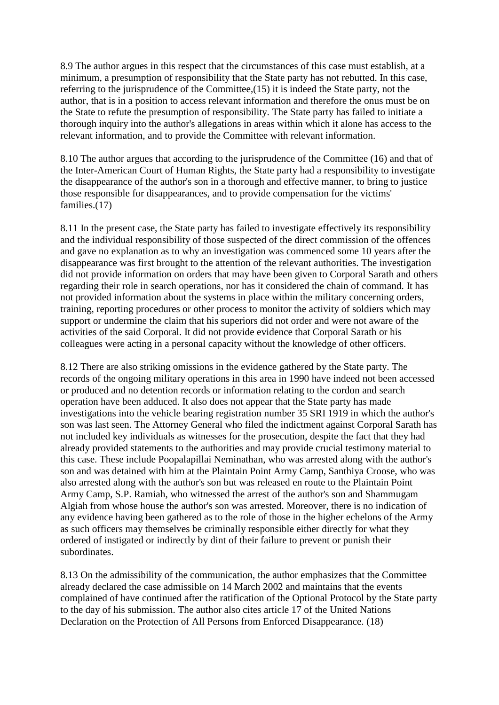8.9 The author argues in this respect that the circumstances of this case must establish, at a minimum, a presumption of responsibility that the State party has not rebutted. In this case, referring to the jurisprudence of the Committee,(15) it is indeed the State party, not the author, that is in a position to access relevant information and therefore the onus must be on the State to refute the presumption of responsibility. The State party has failed to initiate a thorough inquiry into the author's allegations in areas within which it alone has access to the relevant information, and to provide the Committee with relevant information.

8.10 The author argues that according to the jurisprudence of the Committee (16) and that of the Inter-American Court of Human Rights, the State party had a responsibility to investigate the disappearance of the author's son in a thorough and effective manner, to bring to justice those responsible for disappearances, and to provide compensation for the victims' families.(17)

8.11 In the present case, the State party has failed to investigate effectively its responsibility and the individual responsibility of those suspected of the direct commission of the offences and gave no explanation as to why an investigation was commenced some 10 years after the disappearance was first brought to the attention of the relevant authorities. The investigation did not provide information on orders that may have been given to Corporal Sarath and others regarding their role in search operations, nor has it considered the chain of command. It has not provided information about the systems in place within the military concerning orders, training, reporting procedures or other process to monitor the activity of soldiers which may support or undermine the claim that his superiors did not order and were not aware of the activities of the said Corporal. It did not provide evidence that Corporal Sarath or his colleagues were acting in a personal capacity without the knowledge of other officers.

8.12 There are also striking omissions in the evidence gathered by the State party. The records of the ongoing military operations in this area in 1990 have indeed not been accessed or produced and no detention records or information relating to the cordon and search operation have been adduced. It also does not appear that the State party has made investigations into the vehicle bearing registration number 35 SRI 1919 in which the author's son was last seen. The Attorney General who filed the indictment against Corporal Sarath has not included key individuals as witnesses for the prosecution, despite the fact that they had already provided statements to the authorities and may provide crucial testimony material to this case. These include Poopalapillai Neminathan, who was arrested along with the author's son and was detained with him at the Plaintain Point Army Camp, Santhiya Croose, who was also arrested along with the author's son but was released en route to the Plaintain Point Army Camp, S.P. Ramiah, who witnessed the arrest of the author's son and Shammugam Algiah from whose house the author's son was arrested. Moreover, there is no indication of any evidence having been gathered as to the role of those in the higher echelons of the Army as such officers may themselves be criminally responsible either directly for what they ordered of instigated or indirectly by dint of their failure to prevent or punish their subordinates.

8.13 On the admissibility of the communication, the author emphasizes that the Committee already declared the case admissible on 14 March 2002 and maintains that the events complained of have continued after the ratification of the Optional Protocol by the State party to the day of his submission. The author also cites article 17 of the United Nations Declaration on the Protection of All Persons from Enforced Disappearance. (18)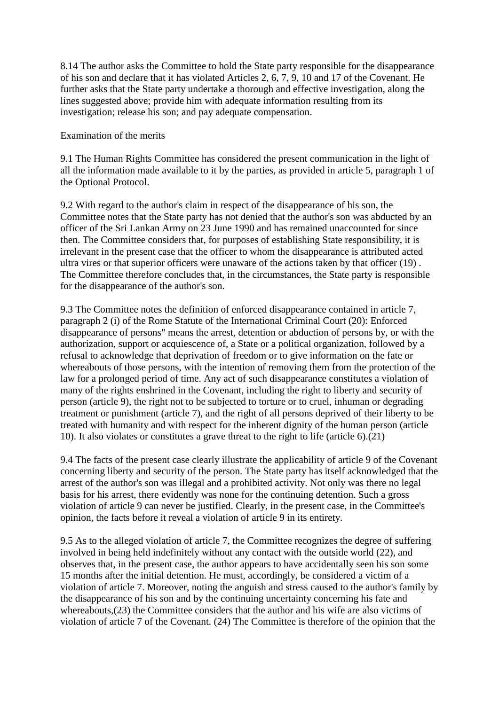8.14 The author asks the Committee to hold the State party responsible for the disappearance of his son and declare that it has violated Articles 2, 6, 7, 9, 10 and 17 of the Covenant. He further asks that the State party undertake a thorough and effective investigation, along the lines suggested above; provide him with adequate information resulting from its investigation; release his son; and pay adequate compensation.

Examination of the merits

9.1 The Human Rights Committee has considered the present communication in the light of all the information made available to it by the parties, as provided in article 5, paragraph 1 of the Optional Protocol.

9.2 With regard to the author's claim in respect of the disappearance of his son, the Committee notes that the State party has not denied that the author's son was abducted by an officer of the Sri Lankan Army on 23 June 1990 and has remained unaccounted for since then. The Committee considers that, for purposes of establishing State responsibility, it is irrelevant in the present case that the officer to whom the disappearance is attributed acted ultra vires or that superior officers were unaware of the actions taken by that officer (19) . The Committee therefore concludes that, in the circumstances, the State party is responsible for the disappearance of the author's son.

9.3 The Committee notes the definition of enforced disappearance contained in article 7, paragraph 2 (i) of the Rome Statute of the International Criminal Court (20): Enforced disappearance of persons" means the arrest, detention or abduction of persons by, or with the authorization, support or acquiescence of, a State or a political organization, followed by a refusal to acknowledge that deprivation of freedom or to give information on the fate or whereabouts of those persons, with the intention of removing them from the protection of the law for a prolonged period of time. Any act of such disappearance constitutes a violation of many of the rights enshrined in the Covenant, including the right to liberty and security of person (article 9), the right not to be subjected to torture or to cruel, inhuman or degrading treatment or punishment (article 7), and the right of all persons deprived of their liberty to be treated with humanity and with respect for the inherent dignity of the human person (article 10). It also violates or constitutes a grave threat to the right to life (article 6).(21)

9.4 The facts of the present case clearly illustrate the applicability of article 9 of the Covenant concerning liberty and security of the person. The State party has itself acknowledged that the arrest of the author's son was illegal and a prohibited activity. Not only was there no legal basis for his arrest, there evidently was none for the continuing detention. Such a gross violation of article 9 can never be justified. Clearly, in the present case, in the Committee's opinion, the facts before it reveal a violation of article 9 in its entirety.

9.5 As to the alleged violation of article 7, the Committee recognizes the degree of suffering involved in being held indefinitely without any contact with the outside world (22), and observes that, in the present case, the author appears to have accidentally seen his son some 15 months after the initial detention. He must, accordingly, be considered a victim of a violation of article 7. Moreover, noting the anguish and stress caused to the author's family by the disappearance of his son and by the continuing uncertainty concerning his fate and whereabouts,(23) the Committee considers that the author and his wife are also victims of violation of article 7 of the Covenant. (24) The Committee is therefore of the opinion that the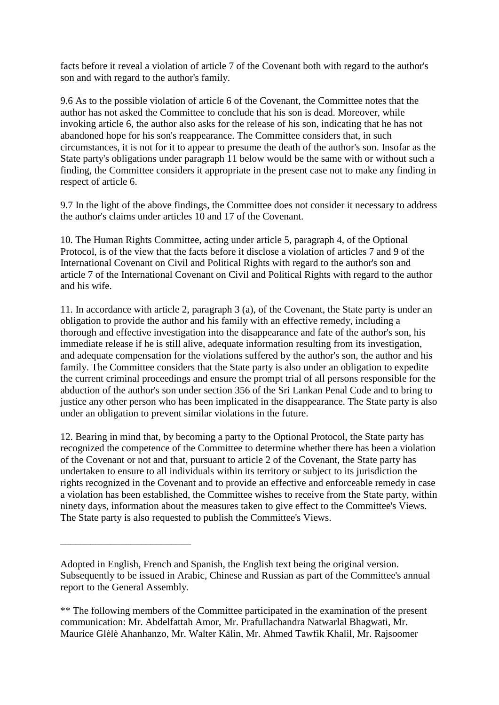facts before it reveal a violation of article 7 of the Covenant both with regard to the author's son and with regard to the author's family.

9.6 As to the possible violation of article 6 of the Covenant, the Committee notes that the author has not asked the Committee to conclude that his son is dead. Moreover, while invoking article 6, the author also asks for the release of his son, indicating that he has not abandoned hope for his son's reappearance. The Committee considers that, in such circumstances, it is not for it to appear to presume the death of the author's son. Insofar as the State party's obligations under paragraph 11 below would be the same with or without such a finding, the Committee considers it appropriate in the present case not to make any finding in respect of article 6.

9.7 In the light of the above findings, the Committee does not consider it necessary to address the author's claims under articles 10 and 17 of the Covenant.

10. The Human Rights Committee, acting under article 5, paragraph 4, of the Optional Protocol, is of the view that the facts before it disclose a violation of articles 7 and 9 of the International Covenant on Civil and Political Rights with regard to the author's son and article 7 of the International Covenant on Civil and Political Rights with regard to the author and his wife.

11. In accordance with article 2, paragraph 3 (a), of the Covenant, the State party is under an obligation to provide the author and his family with an effective remedy, including a thorough and effective investigation into the disappearance and fate of the author's son, his immediate release if he is still alive, adequate information resulting from its investigation, and adequate compensation for the violations suffered by the author's son, the author and his family. The Committee considers that the State party is also under an obligation to expedite the current criminal proceedings and ensure the prompt trial of all persons responsible for the abduction of the author's son under section 356 of the Sri Lankan Penal Code and to bring to justice any other person who has been implicated in the disappearance. The State party is also under an obligation to prevent similar violations in the future.

12. Bearing in mind that, by becoming a party to the Optional Protocol, the State party has recognized the competence of the Committee to determine whether there has been a violation of the Covenant or not and that, pursuant to article 2 of the Covenant, the State party has undertaken to ensure to all individuals within its territory or subject to its jurisdiction the rights recognized in the Covenant and to provide an effective and enforceable remedy in case a violation has been established, the Committee wishes to receive from the State party, within ninety days, information about the measures taken to give effect to the Committee's Views. The State party is also requested to publish the Committee's Views.

\_\_\_\_\_\_\_\_\_\_\_\_\_\_\_\_\_\_\_\_\_\_\_\_\_\_

Adopted in English, French and Spanish, the English text being the original version. Subsequently to be issued in Arabic, Chinese and Russian as part of the Committee's annual report to the General Assembly.

<sup>\*\*</sup> The following members of the Committee participated in the examination of the present communication: Mr. Abdelfattah Amor, Mr. Prafullachandra Natwarlal Bhagwati, Mr. Maurice Glèlè Ahanhanzo, Mr. Walter Kälin, Mr. Ahmed Tawfik Khalil, Mr. Rajsoomer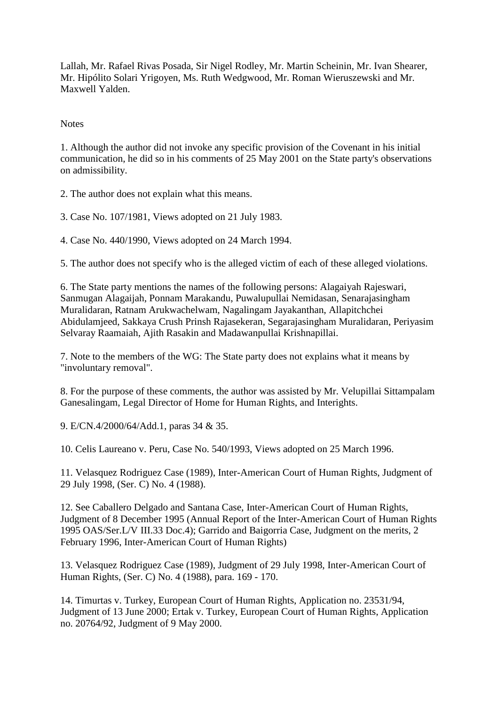Lallah, Mr. Rafael Rivas Posada, Sir Nigel Rodley, Mr. Martin Scheinin, Mr. Ivan Shearer, Mr. Hipólito Solari Yrigoyen, Ms. Ruth Wedgwood, Mr. Roman Wieruszewski and Mr. Maxwell Yalden.

**Notes** 

1. Although the author did not invoke any specific provision of the Covenant in his initial communication, he did so in his comments of 25 May 2001 on the State party's observations on admissibility.

2. The author does not explain what this means.

3. Case No. 107/1981, Views adopted on 21 July 1983.

4. Case No. 440/1990, Views adopted on 24 March 1994.

5. The author does not specify who is the alleged victim of each of these alleged violations.

6. The State party mentions the names of the following persons: Alagaiyah Rajeswari, Sanmugan Alagaijah, Ponnam Marakandu, Puwalupullai Nemidasan, Senarajasingham Muralidaran, Ratnam Arukwachelwam, Nagalingam Jayakanthan, Allapitchchei Abidulamjeed, Sakkaya Crush Prinsh Rajasekeran, Segarajasingham Muralidaran, Periyasim Selvaray Raamaiah, Ajith Rasakin and Madawanpullai Krishnapillai.

7. Note to the members of the WG: The State party does not explains what it means by "involuntary removal".

8. For the purpose of these comments, the author was assisted by Mr. Velupillai Sittampalam Ganesalingam, Legal Director of Home for Human Rights, and Interights.

9. E/CN.4/2000/64/Add.1, paras 34 & 35.

10. Celis Laureano v. Peru, Case No. 540/1993, Views adopted on 25 March 1996.

11. Velasquez Rodriguez Case (1989), Inter-American Court of Human Rights, Judgment of 29 July 1998, (Ser. C) No. 4 (1988).

12. See Caballero Delgado and Santana Case, Inter-American Court of Human Rights, Judgment of 8 December 1995 (Annual Report of the Inter-American Court of Human Rights 1995 OAS/Ser.L/V III.33 Doc.4); Garrido and Baigorria Case, Judgment on the merits, 2 February 1996, Inter-American Court of Human Rights)

13. Velasquez Rodriguez Case (1989), Judgment of 29 July 1998, Inter-American Court of Human Rights, (Ser. C) No. 4 (1988), para. 169 - 170.

14. Timurtas v. Turkey, European Court of Human Rights, Application no. 23531/94, Judgment of 13 June 2000; Ertak v. Turkey, European Court of Human Rights, Application no. 20764/92, Judgment of 9 May 2000.